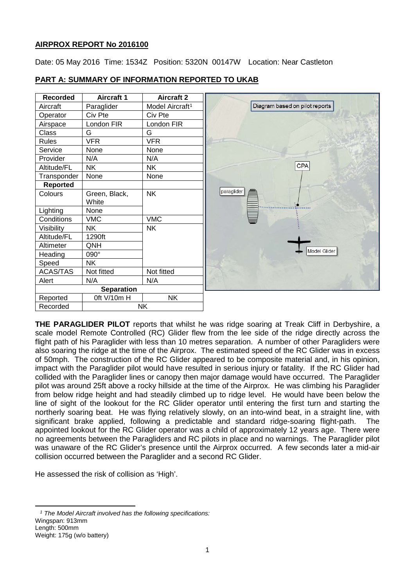## **AIRPROX REPORT No 2016100**

Date: 05 May 2016 Time: 1534Z Position: 5320N 00147W Location: Near Castleton



## **PART A: SUMMARY OF INFORMATION REPORTED TO UKAB**

**THE PARAGLIDER PILOT** reports that whilst he was ridge soaring at Treak Cliff in Derbyshire, a scale model Remote Controlled (RC) Glider flew from the lee side of the ridge directly across the flight path of his Paraglider with less than 10 metres separation. A number of other Paragliders were also soaring the ridge at the time of the Airprox. The estimated speed of the RC Glider was in excess of 50mph. The construction of the RC Glider appeared to be composite material and, in his opinion, impact with the Paraglider pilot would have resulted in serious injury or fatality. If the RC Glider had collided with the Paraglider lines or canopy then major damage would have occurred. The Paraglider pilot was around 25ft above a rocky hillside at the time of the Airprox. He was climbing his Paraglider from below ridge height and had steadily climbed up to ridge level. He would have been below the line of sight of the lookout for the RC Glider operator until entering the first turn and starting the northerly soaring beat. He was flying relatively slowly, on an into-wind beat, in a straight line, with significant brake applied, following a predictable and standard ridge-soaring flight-path. The appointed lookout for the RC Glider operator was a child of approximately 12 years age. There were no agreements between the Paragliders and RC pilots in place and no warnings. The Paraglider pilot was unaware of the RC Glider's presence until the Airprox occurred. A few seconds later a mid-air collision occurred between the Paraglider and a second RC Glider.

He assessed the risk of collision as 'High'.

<span id="page-0-0"></span> $\overline{\phantom{a}}$ *<sup>1</sup> The Model Aircraft involved has the following specifications:* Wingspan: 913mm Length: 500mm Weight: 175g (w/o battery)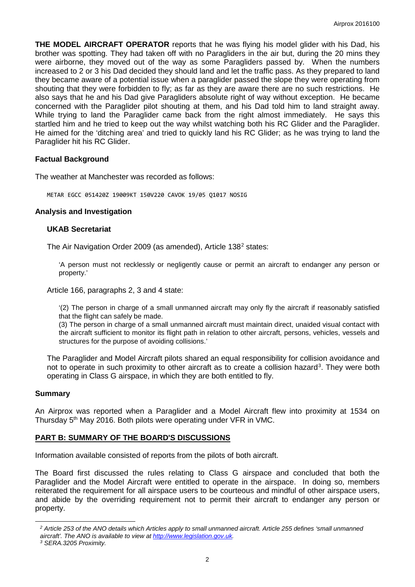**THE MODEL AIRCRAFT OPERATOR** reports that he was flying his model glider with his Dad, his brother was spotting. They had taken off with no Paragliders in the air but, during the 20 mins they were airborne, they moved out of the way as some Paragliders passed by. When the numbers increased to 2 or 3 his Dad decided they should land and let the traffic pass. As they prepared to land they became aware of a potential issue when a paraglider passed the slope they were operating from shouting that they were forbidden to fly; as far as they are aware there are no such restrictions. He also says that he and his Dad give Paragliders absolute right of way without exception. He became concerned with the Paraglider pilot shouting at them, and his Dad told him to land straight away. While trying to land the Paraglider came back from the right almost immediately. He says this startled him and he tried to keep out the way whilst watching both his RC Glider and the Paraglider. He aimed for the 'ditching area' and tried to quickly land his RC Glider; as he was trying to land the Paraglider hit his RC Glider.

#### **Factual Background**

The weather at Manchester was recorded as follows:

METAR EGCC 051420Z 19009KT 150V220 CAVOK 19/05 Q1017 NOSIG

#### **Analysis and Investigation**

#### **UKAB Secretariat**

The Air Navigation Order [2](#page-1-0)009 (as amended), Article 138<sup>2</sup> states:

'A person must not recklessly or negligently cause or permit an aircraft to endanger any person or property.'

Article 166, paragraphs 2, 3 and 4 state:

'(2) The person in charge of a small unmanned aircraft may only fly the aircraft if reasonably satisfied that the flight can safely be made.

(3) The person in charge of a small unmanned aircraft must maintain direct, unaided visual contact with the aircraft sufficient to monitor its flight path in relation to other aircraft, persons, vehicles, vessels and structures for the purpose of avoiding collisions.'

The Paraglider and Model Aircraft pilots shared an equal responsibility for collision avoidance and not to operate in such proximity to other aircraft as to create a collision hazard<sup>[3](#page-1-1)</sup>. They were both operating in Class G airspace, in which they are both entitled to fly.

#### **Summary**

An Airprox was reported when a Paraglider and a Model Aircraft flew into proximity at 1534 on Thursday 5th May 2016. Both pilots were operating under VFR in VMC.

#### **PART B: SUMMARY OF THE BOARD'S DISCUSSIONS**

Information available consisted of reports from the pilots of both aircraft.

The Board first discussed the rules relating to Class G airspace and concluded that both the Paraglider and the Model Aircraft were entitled to operate in the airspace. In doing so, members reiterated the requirement for all airspace users to be courteous and mindful of other airspace users, and abide by the overriding requirement not to permit their aircraft to endanger any person or property.

<span id="page-1-0"></span> $\overline{\phantom{a}}$ 

*<sup>2</sup> Article 253 of the ANO details which Articles apply to small unmanned aircraft. Article 255 defines 'small unmanned* 

<span id="page-1-1"></span>*aircraft'. The ANO is available to view a[t http://www.legislation.gov.uk.](http://www.legislation.gov.uk/) 3 SERA.3205 Proximity.*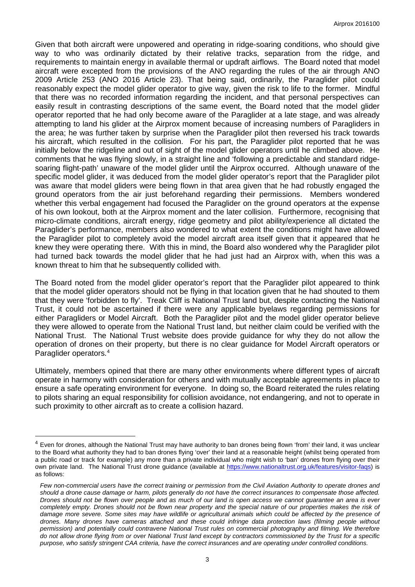Given that both aircraft were unpowered and operating in ridge-soaring conditions, who should give way to who was ordinarily dictated by their relative tracks, separation from the ridge, and requirements to maintain energy in available thermal or updraft airflows. The Board noted that model aircraft were excepted from the provisions of the ANO regarding the rules of the air through ANO 2009 Article 253 (ANO 2016 Article 23). That being said, ordinarily, the Paraglider pilot could reasonably expect the model glider operator to give way, given the risk to life to the former. Mindful that there was no recorded information regarding the incident, and that personal perspectives can easily result in contrasting descriptions of the same event, the Board noted that the model glider operator reported that he had only become aware of the Paraglider at a late stage, and was already attempting to land his glider at the Airprox moment because of increasing numbers of Paragliders in the area; he was further taken by surprise when the Paraglider pilot then reversed his track towards his aircraft, which resulted in the collision. For his part, the Paraglider pilot reported that he was initially below the ridgeline and out of sight of the model glider operators until he climbed above. He comments that he was flying slowly, in a straight line and 'following a predictable and standard ridgesoaring flight-path' unaware of the model glider until the Airprox occurred. Although unaware of the specific model glider, it was deduced from the model glider operator's report that the Paraglider pilot was aware that model gliders were being flown in that area given that he had robustly engaged the ground operators from the air just beforehand regarding their permissions. Members wondered whether this verbal engagement had focused the Paraglider on the ground operators at the expense of his own lookout, both at the Airprox moment and the later collision. Furthermore, recognising that micro-climate conditions, aircraft energy, ridge geometry and pilot ability/experience all dictated the Paraglider's performance, members also wondered to what extent the conditions might have allowed the Paraglider pilot to completely avoid the model aircraft area itself given that it appeared that he knew they were operating there. With this in mind, the Board also wondered why the Paraglider pilot had turned back towards the model glider that he had just had an Airprox with, when this was a known threat to him that he subsequently collided with.

The Board noted from the model glider operator's report that the Paraglider pilot appeared to think that the model glider operators should not be flying in that location given that he had shouted to them that they were 'forbidden to fly'. Treak Cliff is National Trust land but, despite contacting the National Trust, it could not be ascertained if there were any applicable byelaws regarding permissions for either Paragliders or Model Aircraft. Both the Paraglider pilot and the model glider operator believe they were allowed to operate from the National Trust land, but neither claim could be verified with the National Trust. The National Trust website does provide guidance for why they do not allow the operation of drones on their property, but there is no clear guidance for Model Aircraft operators or Paraglider operators. [4](#page-2-0)

Ultimately, members opined that there are many other environments where different types of aircraft operate in harmony with consideration for others and with mutually acceptable agreements in place to ensure a safe operating environment for everyone. In doing so, the Board reiterated the rules relating to pilots sharing an equal responsibility for collision avoidance, not endangering, and not to operate in such proximity to other aircraft as to create a collision hazard.

 $\overline{\phantom{a}}$ 

<span id="page-2-0"></span><sup>&</sup>lt;sup>4</sup> Even for drones, although the National Trust may have authority to ban drones being flown 'from' their land, it was unclear to the Board what authority they had to ban drones flying 'over' their land at a reasonable height (whilst being operated from a public road or track for example) any more than a private individual who might wish to 'ban' drones from flying over their own private land. The National Trust drone guidance (available at [https://www.nationaltrust.org.uk/features/visitor-faqs\)](https://www.nationaltrust.org.uk/features/visitor-faqs) is as follows:

*Few non-commercial users have the correct training or permission from the Civil Aviation Authority to operate drones and should a drone cause damage or harm, pilots generally do not have the correct insurances to compensate those affected. Drones should not be flown over people and as much of our land is open access we cannot guarantee an area is ever*  completely empty. Drones should not be flown near property and the special nature of our properties makes the risk of damage more severe. Some sites may have wildlife or agricultural animals which could be affected by the presence of *drones. Many drones have cameras attached and these could infringe data protection laws (filming people without permission) and potentially could contravene National Trust rules on commercial photography and filming. We therefore do not allow drone flying from or over National Trust land except by contractors commissioned by the Trust for a specific purpose, who satisfy stringent CAA criteria, have the correct insurances and are operating under controlled conditions.*